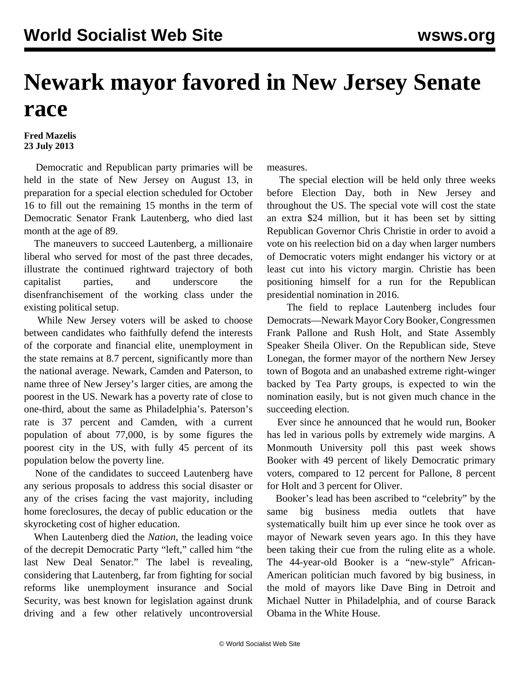## **Newark mayor favored in New Jersey Senate race**

## **Fred Mazelis 23 July 2013**

 Democratic and Republican party primaries will be held in the state of New Jersey on August 13, in preparation for a special election scheduled for October 16 to fill out the remaining 15 months in the term of Democratic Senator Frank Lautenberg, who died last month at the age of 89.

 The maneuvers to succeed Lautenberg, a millionaire liberal who served for most of the past three decades, illustrate the continued rightward trajectory of both capitalist parties, and underscore the disenfranchisement of the working class under the existing political setup.

 While New Jersey voters will be asked to choose between candidates who faithfully defend the interests of the corporate and financial elite, unemployment in the state remains at 8.7 percent, significantly more than the national average. Newark, Camden and Paterson, to name three of New Jersey's larger cities, are among the poorest in the US. Newark has a poverty rate of close to one-third, about the same as Philadelphia's. Paterson's rate is 37 percent and Camden, with a current population of about 77,000, is by some figures the poorest city in the US, with fully 45 percent of its population below the poverty line.

 None of the candidates to succeed Lautenberg have any serious proposals to address this social disaster or any of the crises facing the vast majority, including home foreclosures, the decay of public education or the skyrocketing cost of higher education.

 When Lautenberg died the *Nation*, the leading voice of the decrepit Democratic Party "left," called him "the last New Deal Senator." The label is revealing, considering that Lautenberg, far from fighting for social reforms like unemployment insurance and Social Security, was best known for legislation against drunk driving and a few other relatively uncontroversial measures.

 The special election will be held only three weeks before Election Day, both in New Jersey and throughout the US. The special vote will cost the state an extra \$24 million, but it has been set by sitting Republican Governor Chris Christie in order to avoid a vote on his reelection bid on a day when larger numbers of Democratic voters might endanger his victory or at least cut into his victory margin. Christie has been positioning himself for a run for the Republican presidential nomination in 2016.

 The field to replace Lautenberg includes four Democrats—Newark Mayor Cory Booker, Congressmen Frank Pallone and Rush Holt, and State Assembly Speaker Sheila Oliver. On the Republican side, Steve Lonegan, the former mayor of the northern New Jersey town of Bogota and an unabashed extreme right-winger backed by Tea Party groups, is expected to win the nomination easily, but is not given much chance in the succeeding election.

 Ever since he announced that he would run, Booker has led in various polls by extremely wide margins. A Monmouth University poll this past week shows Booker with 49 percent of likely Democratic primary voters, compared to 12 percent for Pallone, 8 percent for Holt and 3 percent for Oliver.

 Booker's lead has been ascribed to "celebrity" by the same big business media outlets that have systematically built him up ever since he took over as mayor of Newark seven years ago. In this they have been taking their cue from the ruling elite as a whole. The 44-year-old Booker is a "new-style" African-American politician much favored by big business, in the mold of mayors like Dave Bing in Detroit and Michael Nutter in Philadelphia, and of course Barack Obama in the White House.